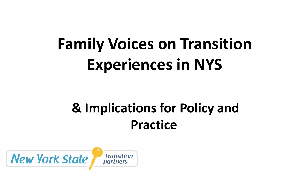# **Family Voices on Transition Experiences in NYS**

# **& Implications for Policy and Practice**

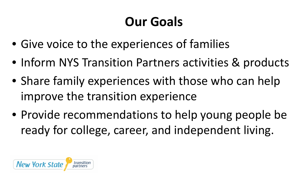## **Our Goals**

- Give voice to the experiences of families
- Inform NYS Transition Partners activities & products
- Share family experiences with those who can help improve the transition experience
- Provide recommendations to help young people be ready for college, career, and independent living.

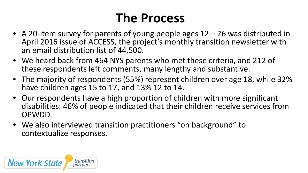#### **The Process**

- A 20-item survey for parents of young people ages 12 26 was distributed in April 2016 issue of ACCESS, the project's monthly transition newsletter with an email distribution list of 44,500.
- We heard back from 464 NYS parents who met these criteria, and 212 of these respondents left comments, many lengthy and substantive.
- The majority of respondents (55%) represent children over age 18, while 32% have children ages 15 to 17, and 13% 12 to 14.
- Our respondents have a high proportion of children with more significant disabilities: 46% of people indicated that their children receive services from OPWDD.
- We also interviewed transition practitioners "on background" to contextualize responses.

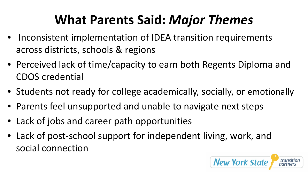### **What Parents Said:** *Major Themes*

- Inconsistent implementation of IDEA transition requirements across districts, schools & regions
- Perceived lack of time/capacity to earn both Regents Diploma and CDOS credential
- Students not ready for college academically, socially, or emotionally
- Parents feel unsupported and unable to navigate next steps
- Lack of jobs and career path opportunities
- Lack of post-school support for independent living, work, and social connection

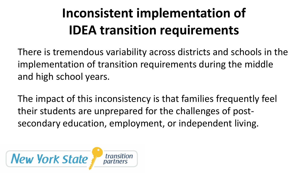# **Inconsistent implementation of IDEA transition requirements**

There is tremendous variability across districts and schools in the implementation of transition requirements during the middle and high school years.

The impact of this inconsistency is that families frequently feel their students are unprepared for the challenges of postsecondary education, employment, or independent living.

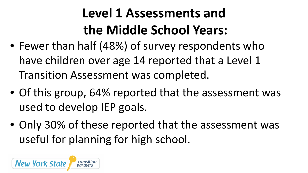# **Level 1 Assessments and the Middle School Years:**

- Fewer than half (48%) of survey respondents who have children over age 14 reported that a Level 1 Transition Assessment was completed.
- Of this group, 64% reported that the assessment was used to develop IEP goals.
- Only 30% of these reported that the assessment was useful for planning for high school.

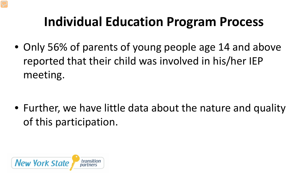#### **Individual Education Program Process**

• Only 56% of parents of young people age 14 and above reported that their child was involved in his/her IEP meeting.

• Further, we have little data about the nature and quality of this participation.

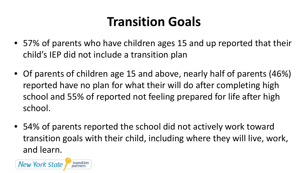### **Transition Goals**

- 57% of parents who have children ages 15 and up reported that their child's IEP did not include a transition plan
- Of parents of children age 15 and above, nearly half of parents (46%) reported have no plan for what their will do after completing high school and 55% of reported not feeling prepared for life after high school.
- 54% of parents reported the school did not actively work toward transition goals with their child, including where they will live, work, and learn.

**New York State** transitior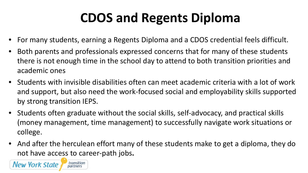### **CDOS and Regents Diploma**

- For many students, earning a Regents Diploma and a CDOS credential feels difficult.
- Both parents and professionals expressed concerns that for many of these students there is not enough time in the school day to attend to both transition priorities and academic ones
- Students with invisible disabilities often can meet academic criteria with a lot of work and support, but also need the work-focused social and employability skills supported by strong transition IEPS.
- Students often graduate without the social skills, self-advocacy, and practical skills (money management, time management) to successfully navigate work situations or college.
- And after the herculean effort many of these students make to get a diploma, they do not have access to career-path jobs**.**

**New York State**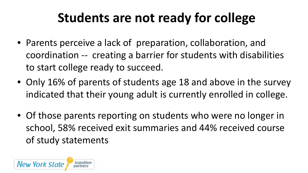### **Students are not ready for college**

- Parents perceive a lack of preparation, collaboration, and coordination -- creating a barrier for students with disabilities to start college ready to succeed.
- Only 16% of parents of students age 18 and above in the survey indicated that their young adult is currently enrolled in college.
- Of those parents reporting on students who were no longer in school, 58% received exit summaries and 44% received course of study statements

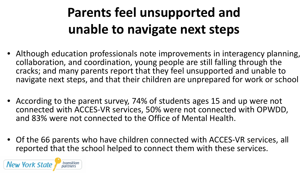# **Parents feel unsupported and unable to navigate next steps**

- Although education professionals note improvements in interagency planning, collaboration, and coordination, young people are still falling through the cracks; and many parents report that they feel unsupported and unable to navigate next steps, and that their children are unprepared for work or school
- According to the parent survey, 74% of students ages 15 and up were not connected with ACCES-VR services, 50% were not connected with OPWDD, and 83% were not connected to the Office of Mental Health.
- Of the 66 parents who have children connected with ACCES-VR services, all reported that the school helped to connect them with these services.

**New York State**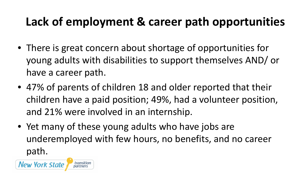#### **Lack of employment & career path opportunities**

- There is great concern about shortage of opportunities for young adults with disabilities to support themselves AND/ or have a career path.
- 47% of parents of children 18 and older reported that their children have a paid position; 49%, had a volunteer position, and 21% were involved in an internship.
- Yet many of these young adults who have jobs are underemployed with few hours, no benefits, and no career path.

**New York State**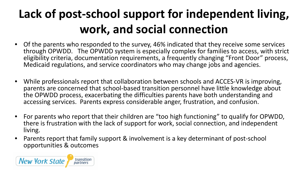### **Lack of post-school support for independent living, work, and social connection**

- Of the parents who responded to the survey, 46% indicated that they receive some services through OPWDD. The OPWDD system is especially complex for families to access, with strict eligibility criteria, documentation requirements, a frequently changing "Front Door" process, Medicaid regulations, and service coordinators who may change jobs and agencies.
- While professionals report that collaboration between schools and ACCES-VR is improving, parents are concerned that school-based transition personnel have little knowledge about the OPWDD process, exacerbating the difficulties parents have both understanding and accessing services. Parents express considerable anger, frustration, and confusion.
- For parents who report that their children are "too high functioning" to qualify for OPWDD, there is frustration with the lack of support for work, social connection, and independent living.
- Parents report that family support & involvement is a key determinant of post-school opportunities & outcomes

![](_page_12_Picture_5.jpeg)